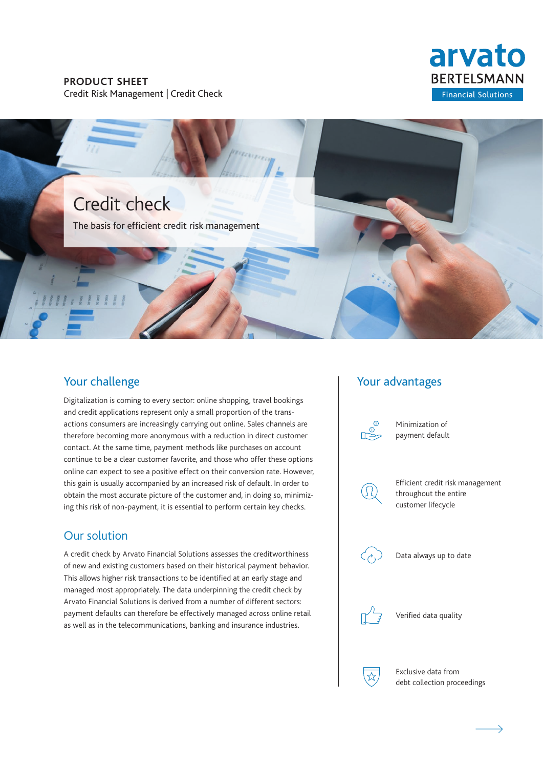### **PRODUCT SHEET** Credit Risk Management | Credit Check





# Your challenge

Digitalization is coming to every sector: online shopping, travel bookings and credit applications represent only a small proportion of the transactions consumers are increasingly carrying out online. Sales channels are therefore becoming more anonymous with a reduction in direct customer contact. At the same time, payment methods like purchases on account continue to be a clear customer favorite, and those who offer these options online can expect to see a positive effect on their conversion rate. However, this gain is usually accompanied by an increased risk of default. In order to obtain the most accurate picture of the customer and, in doing so, minimizing this risk of non-payment, it is essential to perform certain key checks.

# Our solution

A credit check by Arvato Financial Solutions assesses the creditworthiness of new and existing customers based on their historical payment behavior. This allows higher risk transactions to be identified at an early stage and managed most appropriately. The data underpinning the credit check by Arvato Financial Solutions is derived from a number of different sectors: payment defaults can therefore be effectively managed across online retail as well as in the telecommunications, banking and insurance industries.

## Your advantages



Data always up to date



Verified data quality

Exclusive data from debt collection proceedings